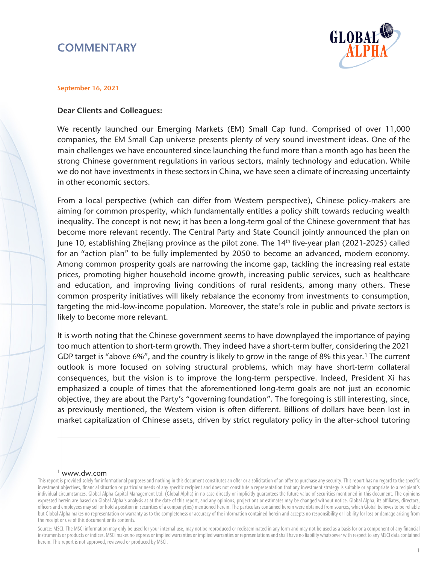# **COMMENTARY**



### September 16, 2021

### Dear Clients and Colleagues:

We recently launched our Emerging Markets (EM) Small Cap fund. Comprised of over 11,000 companies, the EM Small Cap universe presents plenty of very sound investment ideas. One of the main challenges we have encountered since launching the fund more than a month ago has been the strong Chinese government regulations in various sectors, mainly technology and education. While we do not have investments in these sectors in China, we have seen a climate of increasing uncertainty in other economic sectors.

From a local perspective (which can differ from Western perspective), Chinese policy-makers are aiming for common prosperity, which fundamentally entitles a policy shift towards reducing wealth inequality. The concept is not new; it has been a long-term goal of the Chinese government that has become more relevant recently. The Central Party and State Council jointly announced the plan on June 10, establishing Zhejiang province as the pilot zone. The 14<sup>th</sup> five-year plan (2021-2025) called for an "action plan" to be fully implemented by 2050 to become an advanced, modern economy. Among common prosperity goals are narrowing the income gap, tackling the increasing real estate prices, promoting higher household income growth, increasing public services, such as healthcare and education, and improving living conditions of rural residents, among many others. These common prosperity initiatives will likely rebalance the economy from investments to consumption, targeting the mid-low-income population. Moreover, the state's role in public and private sectors is likely to become more relevant.

It is worth noting that the Chinese government seems to have downplayed the importance of paying too much attention to short-term growth. They indeed have a short-term buffer, considering the 2021 GDP target is "above 6%", and the country is likely to grow in the range of 8% this year.<sup>[1](#page-0-0)</sup> The current outlook is more focused on solving structural problems, which may have short-term collateral consequences, but the vision is to improve the long-term perspective. Indeed, President Xi has emphasized a couple of times that the aforementioned long-term goals are not just an economic objective, they are about the Party's "governing foundation". The foregoing is still interesting, since, as previously mentioned, the Western vision is often different. Billions of dollars have been lost in market capitalization of Chinese assets, driven by strict regulatory policy in the after-school tutoring

#### <sup>1</sup> www.dw.com

<span id="page-0-0"></span>This report is provided solely for informational purposes and nothing in this document constitutes an offer or a solicitation of an offer to purchase any security. This report has no regard to the specific investment objectives, financial situation or particular needs of any specific recipient and does not constitute a representation that any investment strategy is suitable or appropriate to a recipient's individual circumstances. Global Alpha Capital Management Ltd. (Global Alpha) in no case directly or implicitly guarantees the future value of securities mentioned in this document. The opinions expressed herein are based on Global Alpha's analysis as at the date of this report, and any opinions, projections or estimates may be changed without notice. Global Alpha, its affiliates, directors, officers and employees may sell or hold a position in securities of a company(ies) mentioned herein. The particulars contained herein were obtained from sources, which Global believes to be reliable but Global Alpha makes no representation or warranty as to the completeness or accuracy of the information contained herein and accepts no responsibility or liability for loss or damage arising from the receipt or use of this document or its contents.

Source: MSCI. The MSCI information may only be used for your internal use, may not be reproduced or redisseminated in any form and may not be used as a basis for or a component of any financial instruments or products or indices. MSCI makes no express or implied warranties or implied warranties or representations and shall have no liability whatsoever with respect to any MSCI data contained herein. This report is not approved, reviewed or produced by MSCI.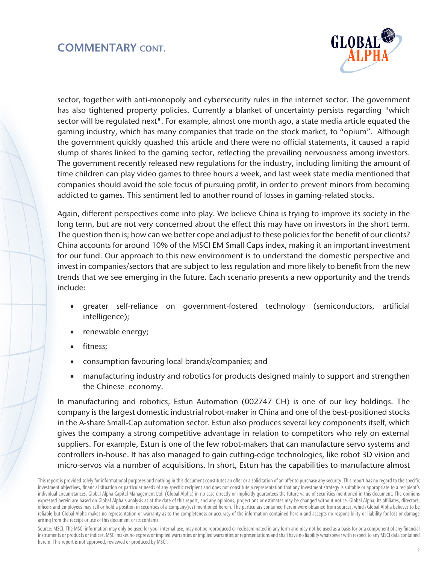

sector, together with anti-monopoly and cybersecurity rules in the internet sector. The government has also tightened property policies. Currently a blanket of uncertainty persists regarding "which sector will be regulated next". For example, almost one month ago, a state media article equated the gaming industry, which has many companies that trade on the stock market, to "opium". Although the government quickly quashed this article and there were no official statements, it caused a rapid slump of shares linked to the gaming sector, reflecting the prevailing nervousness among investors. The government recently released new regulations for the industry, including limiting the amount of time children can play video games to three hours a week, and last week state media mentioned that companies should avoid the sole focus of pursuing profit, in order to prevent minors from becoming addicted to games. This sentiment led to another round of losses in gaming-related stocks.

Again, different perspectives come into play. We believe China is trying to improve its society in the long term, but are not very concerned about the effect this may have on investors in the short term. The question then is; how can we better cope and adjust to these policies for the benefit of our clients? China accounts for around 10% of the MSCI EM Small Caps index, making it an important investment for our fund. Our approach to this new environment is to understand the domestic perspective and invest in companies/sectors that are subject to less regulation and more likely to benefit from the new trends that we see emerging in the future. Each scenario presents a new opportunity and the trends include:

- greater self-reliance on government-fostered technology (semiconductors, artificial intelligence);
- renewable energy;
- fitness;
- consumption favouring local brands/companies; and
- manufacturing industry and robotics for products designed mainly to support and strengthen the Chinese economy.

In manufacturing and robotics, Estun Automation (002747 CH) is one of our key holdings. The company is the largest domestic industrial robot-maker in China and one of the best-positioned stocks in the A-share Small-Cap automation sector. Estun also produces several key components itself, which gives the company a strong competitive advantage in relation to competitors who rely on external suppliers. For example, Estun is one of the few robot-makers that can manufacture servo systems and controllers in-house. It has also managed to gain cutting-edge technologies, like robot 3D vision and micro-servos via a number of acquisitions. In short, Estun has the capabilities to manufacture almost

This report is provided solely for informational purposes and nothing in this document constitutes an offer or a solicitation of an offer to purchase any security. This report has no regard to the specific investment objectives, financial situation or particular needs of any specific recipient and does not constitute a representation that any investment strategy is suitable or appropriate to a recipient's individual circumstances. Global Alpha Capital Management Ltd. (Global Alpha) in no case directly or implicitly guarantees the future value of securities mentioned in this document. The opinions expressed herein are based on Global Alpha's analysis as at the date of this report, and any opinions, projections or estimates may be changed without notice. Global Alpha, its affiliates, directors, officers and employees may sell or hold a position in securities of a company(ies) mentioned herein. The particulars contained herein were obtained from sources, which Global Alpha believes to be reliable but Global Alpha makes no representation or warranty as to the completeness or accuracy of the information contained herein and accepts no responsibility or liability for loss or damage arising from the receipt or use of this document or its contents.

Source: MSCI. The MSCI information may only be used for your internal use, may not be reproduced or redisseminated in any form and may not be used as a basis for or a component of any financial instruments or products or indices. MSCI makes no express or implied warranties or implied warranties or representations and shall have no liability whatsoever with respect to any MSCI data contained herein. This report is not approved, reviewed or produced by MSCI.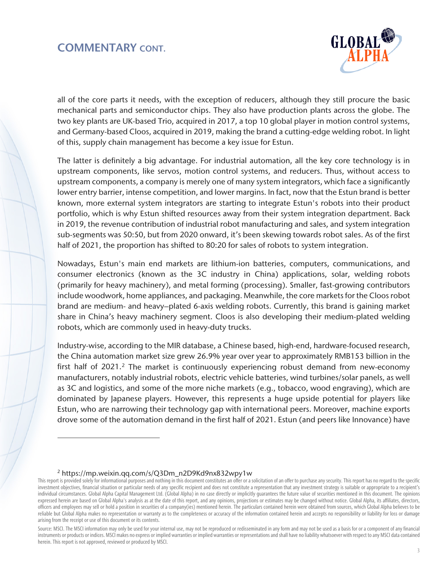

all of the core parts it needs, with the exception of reducers, although they still procure the basic mechanical parts and semiconductor chips. They also have production plants across the globe. The two key plants are UK-based Trio, acquired in 2017, a top 10 global player in motion control systems, and Germany-based Cloos, acquired in 2019, making the brand a cutting-edge welding robot. In light of this, supply chain management has become a key issue for Estun.

The latter is definitely a big advantage. For industrial automation, all the key core technology is in upstream components, like servos, motion control systems, and reducers. Thus, without access to upstream components, a company is merely one of many system integrators, which face a significantly lower entry barrier, intense competition, and lower margins. In fact, now that the Estun brand is better known, more external system integrators are starting to integrate Estun's robots into their product portfolio, which is why Estun shifted resources away from their system integration department. Back in 2019, the revenue contribution of industrial robot manufacturing and sales, and system integration sub-segments was 50:50, but from 2020 onward, it's been skewing towards robot sales. As of the first half of 2021, the proportion has shifted to 80:20 for sales of robots to system integration.

Nowadays, Estun's main end markets are lithium-ion batteries, computers, communications, and consumer electronics (known as the 3C industry in China) applications, solar, welding robots (primarily for heavy machinery), and metal forming (processing). Smaller, fast-growing contributors include woodwork, home appliances, and packaging. Meanwhile, the core markets for the Cloos robot brand are medium- and heavy–plated 6-axis welding robots. Currently, this brand is gaining market share in China's heavy machinery segment. Cloos is also developing their medium-plated welding robots, which are commonly used in heavy-duty trucks.

Industry-wise, according to the MIR database, a Chinese based, high-end, hardware-focused research, the China automation market size grew 26.9% year over year to approximately RMB153 billion in the first half of [2](#page-2-0)021.<sup>2</sup> The market is continuously experiencing robust demand from new-economy manufacturers, notably industrial robots, electric vehicle batteries, wind turbines/solar panels, as well as 3C and logistics, and some of the more niche markets (e.g., tobacco, wood engraving), which are dominated by Japanese players. However, this represents a huge upside potential for players like Estun, who are narrowing their technology gap with international peers. Moreover, machine exports drove some of the automation demand in the first half of 2021. Estun (and peers like Innovance) have

#### <sup>2</sup> https://mp.weixin.qq.com/s/Q3Dm\_n2D9Kd9nx832wpy1w

<span id="page-2-0"></span>This report is provided solely for informational purposes and nothing in this document constitutes an offer or a solicitation of an offer to purchase any security. This report has no regard to the specific investment objectives, financial situation or particular needs of any specific recipient and does not constitute a representation that any investment strategy is suitable or appropriate to a recipient's individual circumstances. Global Alpha Capital Management Ltd. (Global Alpha) in no case directly or implicitly guarantees the future value of securities mentioned in this document. The opinions expressed herein are based on Global Alpha's analysis as at the date of this report, and any opinions, projections or estimates may be changed without notice. Global Alpha, its affiliates, directors, officers and employees may sell or hold a position in securities of a company(ies) mentioned herein. The particulars contained herein were obtained from sources, which Global Alpha believes to be reliable but Global Alpha makes no representation or warranty as to the completeness or accuracy of the information contained herein and accepts no responsibility or liability for loss or damage arising from the receipt or use of this document or its contents.

Source: MSCI. The MSCI information may only be used for your internal use, may not be reproduced or redisseminated in any form and may not be used as a basis for or a component of any financial instruments or products or indices. MSCI makes no express or implied warranties or implied warranties or representations and shall have no liability whatsoever with respect to any MSCI data contained herein. This report is not approved, reviewed or produced by MSCI.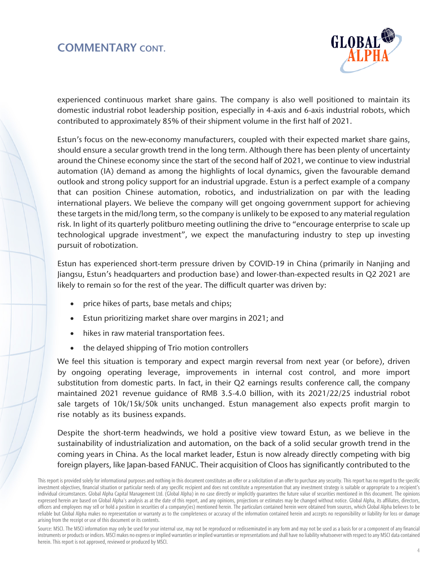

experienced continuous market share gains. The company is also well positioned to maintain its domestic industrial robot leadership position, especially in 4-axis and 6-axis industrial robots, which contributed to approximately 85% of their shipment volume in the first half of 2021.

Estun's focus on the new-economy manufacturers, coupled with their expected market share gains, should ensure a secular growth trend in the long term. Although there has been plenty of uncertainty around the Chinese economy since the start of the second half of 2021, we continue to view industrial automation (IA) demand as among the highlights of local dynamics, given the favourable demand outlook and strong policy support for an industrial upgrade. Estun is a perfect example of a company that can position Chinese automation, robotics, and industrialization on par with the leading international players. We believe the company will get ongoing government support for achieving these targets in the mid/long term, so the company is unlikely to be exposed to any material regulation risk. In light of its quarterly politburo meeting outlining the drive to "encourage enterprise to scale up technological upgrade investment", we expect the manufacturing industry to step up investing pursuit of robotization.

Estun has experienced short-term pressure driven by COVID-19 in China (primarily in Nanjing and Jiangsu, Estun's headquarters and production base) and lower-than-expected results in Q2 2021 are likely to remain so for the rest of the year. The difficult quarter was driven by:

- price hikes of parts, base metals and chips;
- Estun prioritizing market share over margins in 2021; and
- hikes in raw material transportation fees.
- the delayed shipping of Trio motion controllers

We feel this situation is temporary and expect margin reversal from next year (or before), driven by ongoing operating leverage, improvements in internal cost control, and more import substitution from domestic parts. In fact, in their Q2 earnings results conference call, the company maintained 2021 revenue guidance of RMB 3.5-4.0 billion, with its 2021/22/25 industrial robot sale targets of 10k/15k/50k units unchanged. Estun management also expects profit margin to rise notably as its business expands.

Despite the short-term headwinds, we hold a positive view toward Estun, as we believe in the sustainability of industrialization and automation, on the back of a solid secular growth trend in the coming years in China. As the local market leader, Estun is now already directly competing with big foreign players, like Japan-based FANUC. Their acquisition of Cloos has significantly contributed to the

This report is provided solely for informational purposes and nothing in this document constitutes an offer or a solicitation of an offer to purchase any security. This report has no regard to the specific investment objectives, financial situation or particular needs of any specific recipient and does not constitute a representation that any investment strategy is suitable or appropriate to a recipient's individual circumstances. Global Alpha Capital Management Ltd. (Global Alpha) in no case directly or implicitly guarantees the future value of securities mentioned in this document. The opinions expressed herein are based on Global Alpha's analysis as at the date of this report, and any opinions, projections or estimates may be changed without notice. Global Alpha, its affiliates, directors, officers and employees may sell or hold a position in securities of a company(ies) mentioned herein. The particulars contained herein were obtained from sources, which Global Alpha believes to be reliable but Global Alpha makes no representation or warranty as to the completeness or accuracy of the information contained herein and accepts no responsibility or liability for loss or damage arising from the receipt or use of this document or its contents.

Source: MSCI. The MSCI information may only be used for your internal use, may not be reproduced or redisseminated in any form and may not be used as a basis for or a component of any financial instruments or products or indices. MSCI makes no express or implied warranties or implied warranties or representations and shall have no liability whatsoever with respect to any MSCI data contained herein. This report is not approved, reviewed or produced by MSCI.